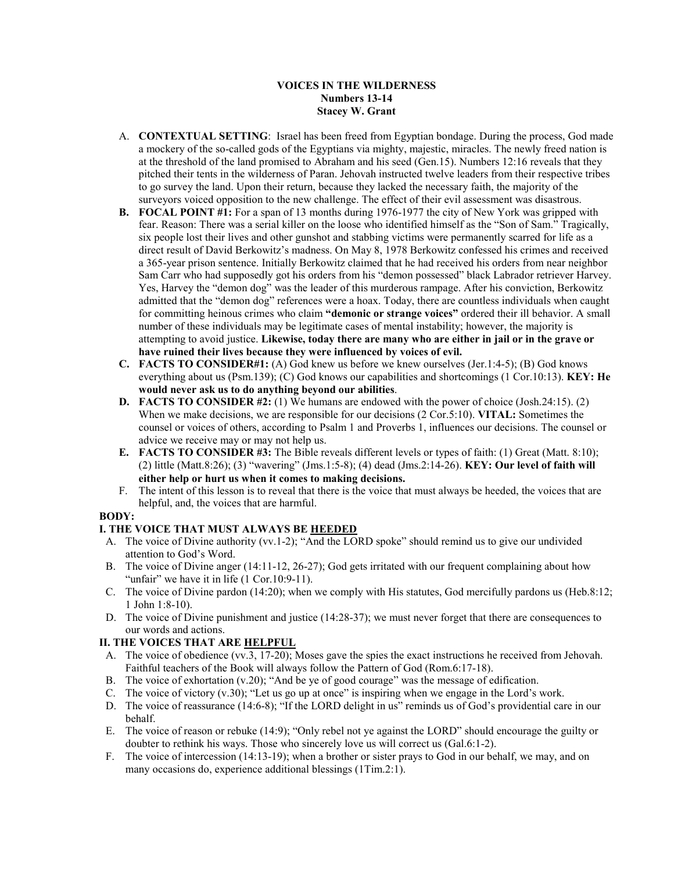### **VOICES IN THE WILDERNESS Numbers 13-14 Stacey W. Grant**

- A. **CONTEXTUAL SETTING**: Israel has been freed from Egyptian bondage. During the process, God made a mockery of the so-called gods of the Egyptians via mighty, majestic, miracles. The newly freed nation is at the threshold of the land promised to Abraham and his seed (Gen.15). Numbers 12:16 reveals that they pitched their tents in the wilderness of Paran. Jehovah instructed twelve leaders from their respective tribes to go survey the land. Upon their return, because they lacked the necessary faith, the majority of the surveyors voiced opposition to the new challenge. The effect of their evil assessment was disastrous.
- **B. FOCAL POINT #1:** For a span of 13 months during 1976-1977 the city of New York was gripped with fear. Reason: There was a serial killer on the loose who identified himself as the "Son of Sam." Tragically, six people lost their lives and other gunshot and stabbing victims were permanently scarred for life as a direct result of David Berkowitz's madness. On May 8, 1978 Berkowitz confessed his crimes and received a 365-year prison sentence. Initially Berkowitz claimed that he had received his orders from near neighbor Sam Carr who had supposedly got his orders from his "demon possessed" black Labrador retriever Harvey. Yes, Harvey the "demon dog" was the leader of this murderous rampage. After his conviction, Berkowitz admitted that the "demon dog" references were a hoax. Today, there are countless individuals when caught for committing heinous crimes who claim **"demonic or strange voices"** ordered their ill behavior. A small number of these individuals may be legitimate cases of mental instability; however, the majority is attempting to avoid justice. **Likewise, today there are many who are either in jail or in the grave or have ruined their lives because they were influenced by voices of evil.**
- **C. FACTS TO CONSIDER#1:** (A) God knew us before we knew ourselves (Jer.1:4-5); (B) God knows everything about us (Psm.139); (C) God knows our capabilities and shortcomings (1 Cor.10:13). **KEY: He would never ask us to do anything beyond our abilities**.
- **D. FACTS TO CONSIDER #2:** (1) We humans are endowed with the power of choice (Josh.24:15). (2) When we make decisions, we are responsible for our decisions (2 Cor.5:10). **VITAL:** Sometimes the counsel or voices of others, according to Psalm 1 and Proverbs 1, influences our decisions. The counsel or advice we receive may or may not help us.
- **E. FACTS TO CONSIDER #3:** The Bible reveals different levels or types of faith: (1) Great (Matt. 8:10); (2) little (Matt.8:26); (3) "wavering" (Jms.1:5-8); (4) dead (Jms.2:14-26). **KEY: Our level of faith will either help or hurt us when it comes to making decisions.**
- F. The intent of this lesson is to reveal that there is the voice that must always be heeded, the voices that are helpful, and, the voices that are harmful.

# **BODY:**

# **I. THE VOICE THAT MUST ALWAYS BE HEEDED**

- A. The voice of Divine authority (vv.1-2); "And the LORD spoke" should remind us to give our undivided attention to God's Word.
- B. The voice of Divine anger (14:11-12, 26-27); God gets irritated with our frequent complaining about how "unfair" we have it in life (1 Cor.10:9-11).
- C. The voice of Divine pardon (14:20); when we comply with His statutes, God mercifully pardons us (Heb.8:12; 1 John 1:8-10).
- D. The voice of Divine punishment and justice (14:28-37); we must never forget that there are consequences to our words and actions.

# **II. THE VOICES THAT ARE HELPFUL**

- A. The voice of obedience (vv.3, 17-20); Moses gave the spies the exact instructions he received from Jehovah. Faithful teachers of the Book will always follow the Pattern of God (Rom.6:17-18).
- B. The voice of exhortation (v.20); "And be ye of good courage" was the message of edification.
- C. The voice of victory (v.30); "Let us go up at once" is inspiring when we engage in the Lord's work.
- D. The voice of reassurance (14:6-8); "If the LORD delight in us" reminds us of God's providential care in our behalf.
- E. The voice of reason or rebuke (14:9); "Only rebel not ye against the LORD" should encourage the guilty or doubter to rethink his ways. Those who sincerely love us will correct us (Gal.6:1-2).
- F. The voice of intercession (14:13-19); when a brother or sister prays to God in our behalf, we may, and on many occasions do, experience additional blessings (1Tim.2:1).